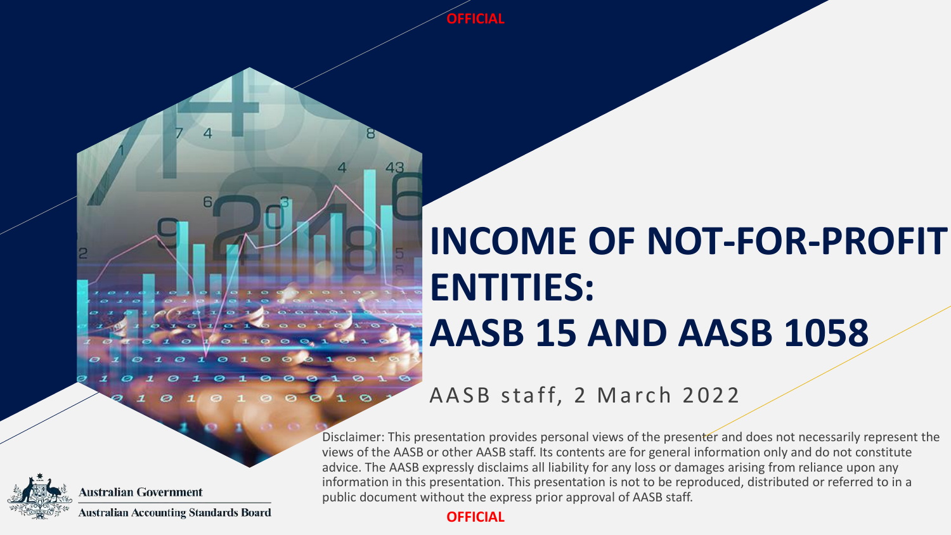

**Australian Government** 

**Australian Accounting Standards Board** 

# **INCOME OF NOT-FOR-PROFIT ENTITIES: AASB 15 AND AASB 1058**

### AASB staff, 2 March 2022

Disclaimer: This presentation provides personal views of the presenter and does not necessarily represent the views of the AASB or other AASB staff. Its contents are for general information only and do not constitute advice. The AASB expressly disclaims all liability for any loss or damages arising from reliance upon any information in this presentation. This presentation is not to be reproduced, distributed or referred to in a public document without the express prior approval of AASB staff.

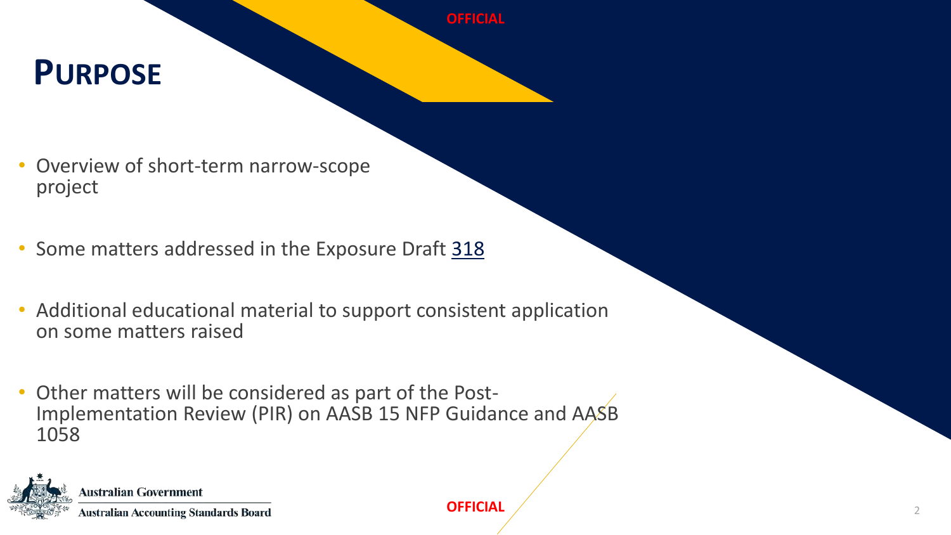# **PURPOSE**

- Overview of short-term narrow-scope project
- Some matters addressed in the Exposure Draft [318](https://aasb.gov.au/admin/file/content105/c9/ACCED318_01-22.pdf)
- Additional educational material to support consistent application on some matters raised
- Other matters will be considered as part of the Post-Implementation Review (PIR) on AASB 15 NFP Guidance and AASB 1058

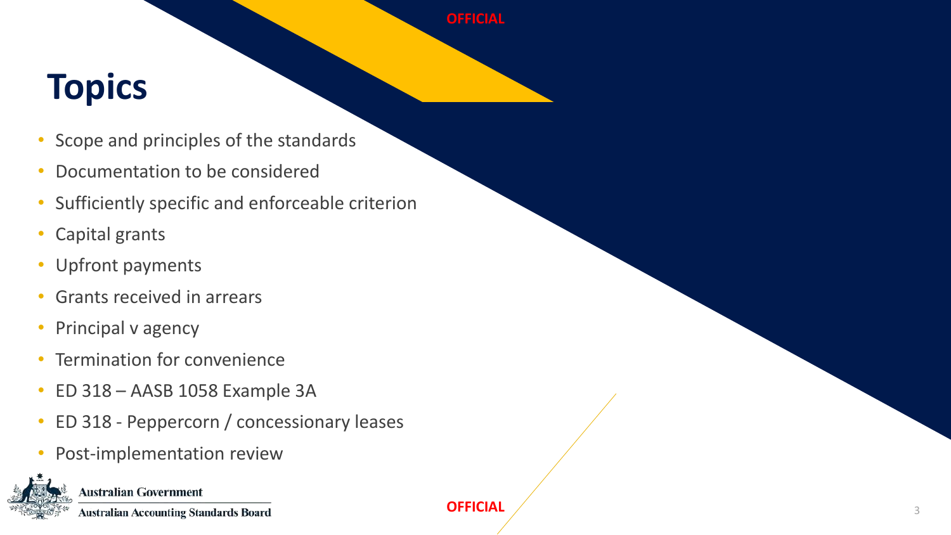# **Topics**

- Scope and principles of the standards
- Documentation to be considered
- Sufficiently specific and enforceable criterion
- Capital grants
- Upfront payments
- Grants received in arrears
- Principal v agency
- Termination for convenience
- ED 318 AASB 1058 Example 3A
- ED 318 Peppercorn / concessionary leases
- Post-implementation review

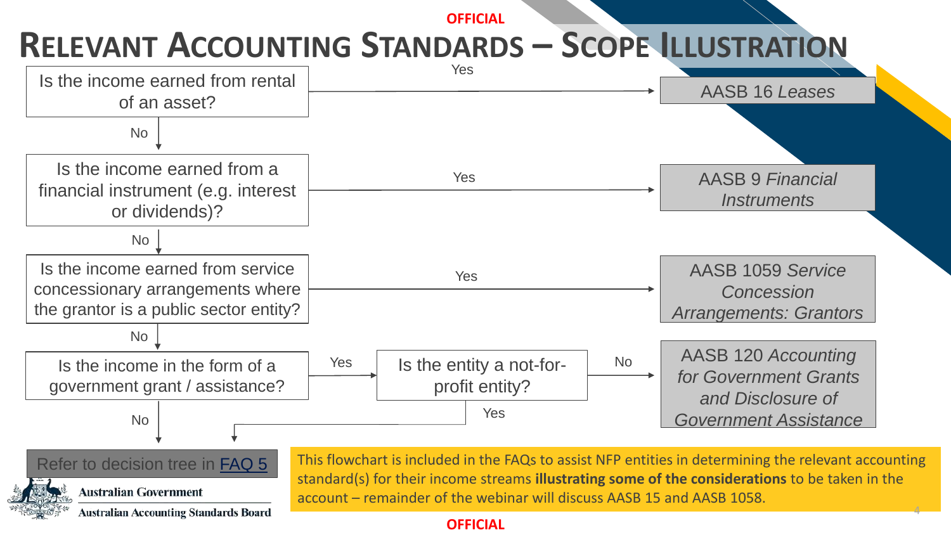# **RELEVANT ACCOUNTING STANDARDS – SCOPE ILLUSTRATION**

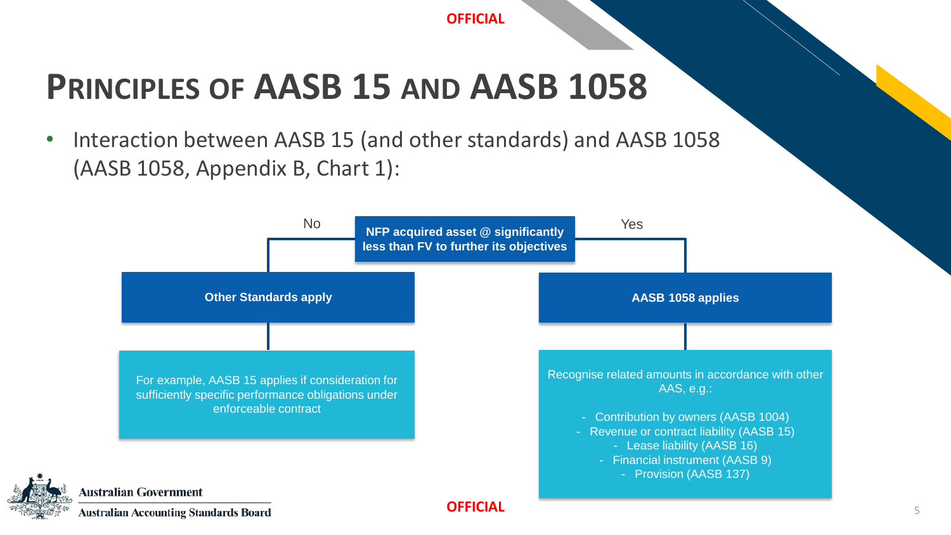# **PRINCIPLES OF AASB 15 AND AASB 1058**

• Interaction between AASB 15 (and other standards) and AASB 1058 (AASB 1058, Appendix B, Chart 1):

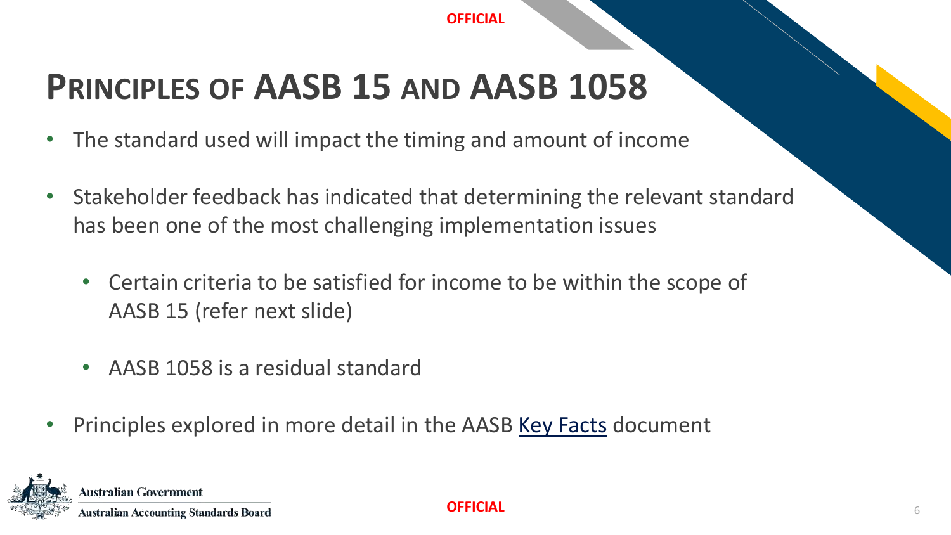# **PRINCIPLES OF AASB 15 AND AASB 1058**

- The standard used will impact the timing and amount of income
- Stakeholder feedback has indicated that determining the relevant standard has been one of the most challenging implementation issues
	- Certain criteria to be satisfied for income to be within the scope of AASB 15 (refer next slide)
	- AASB 1058 is a residual standard
- Principles explored in more detail in the AASB [Key Facts](https://www.aasb.gov.au/media/jw1bky3c/keyfacts_27-feb2022.pdf) document

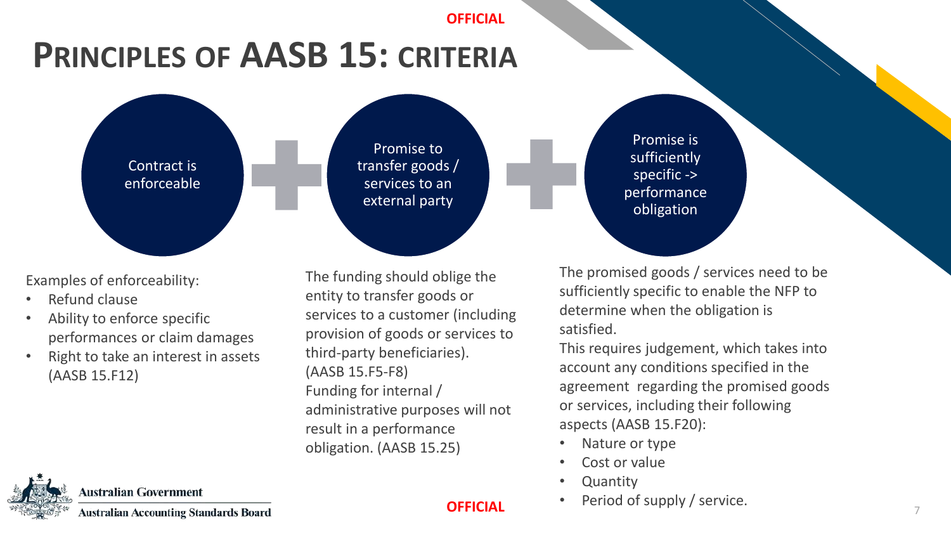# **PRINCIPLES OF AASB 15: CRITERIA**

Contract is enforceable

Examples of enforceability:

- Refund clause
- Ability to enforce specific performances or claim damages
- Right to take an interest in assets (AASB 15.F12)

The funding should oblige the entity to transfer goods or services to a customer (including provision of goods or services to third-party beneficiaries). (AASB 15.F5-F8) Funding for internal / administrative purposes will not result in a performance obligation. (AASB 15.25)

Promise to transfer goods / services to an external party

Promise is sufficiently specific -> performance obligation

The promised goods / services need to be sufficiently specific to enable the NFP to determine when the obligation is satisfied.

This requires judgement, which takes into account any conditions specified in the agreement regarding the promised goods or services, including their following aspects (AASB 15.F20):

- Nature or type
- Cost or value
- **Quantity**
- **OFFICIAL** Period of supply / service.

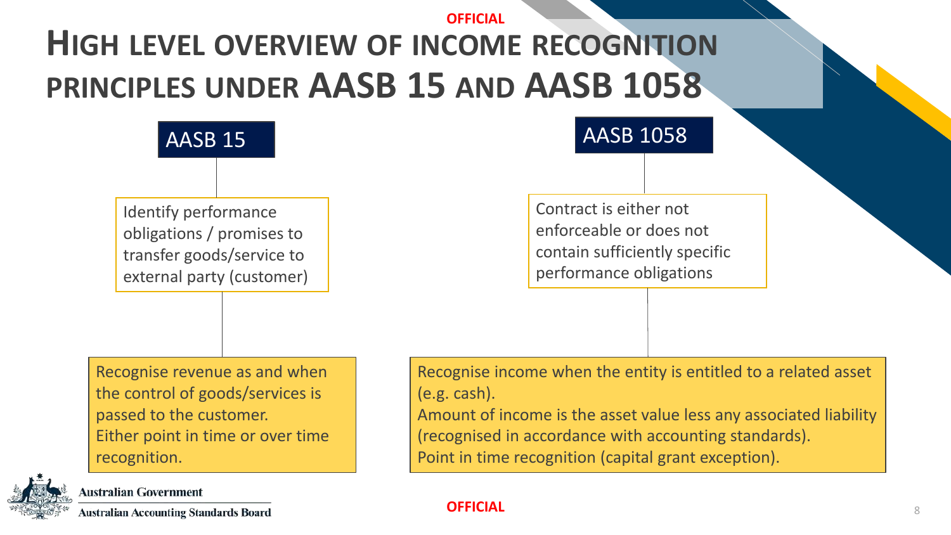# **HIGH LEVEL OVERVIEW OF INCOME RECOGNITION PRINCIPLES UNDER AASB 15 AND AASB 1058**

## Identify performance obligations / promises to transfer goods/service to external party (customer)

AASB 15 AASB 1058

Contract is either not enforceable or does not contain sufficiently specific performance obligations

Recognise revenue as and when the control of goods/services is passed to the customer. Either point in time or over time recognition.



**Australian Government** 

Recognise income when the entity is entitled to a related asset (e.g. cash).

Amount of income is the asset value less any associated liability (recognised in accordance with accounting standards). Point in time recognition (capital grant exception).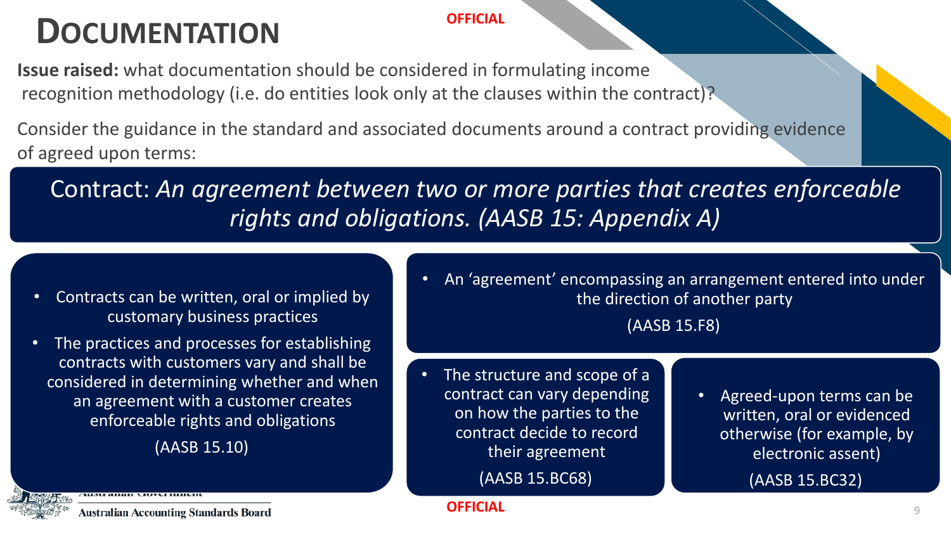# **DOCUMENTATION**

**Issue raised:** what documentation should be considered in formulating income recognition methodology (i.e. do entities look only at the clauses within the contract)?

Consider the guidance in the standard and associated documents around a contract providing evidence of agreed upon terms:

Contract: *An agreement between two or more parties that creates enforceable rights and obligations. (AASB 15: Appendix A)*

**OFFICIAL**

- Contracts can be written, oral or implied by customary business practices
- The practices and processes for establishing contracts with customers vary and shall be considered in determining whether and when an agreement with a customer creates enforceable rights and obligations

(AASB 15.10)

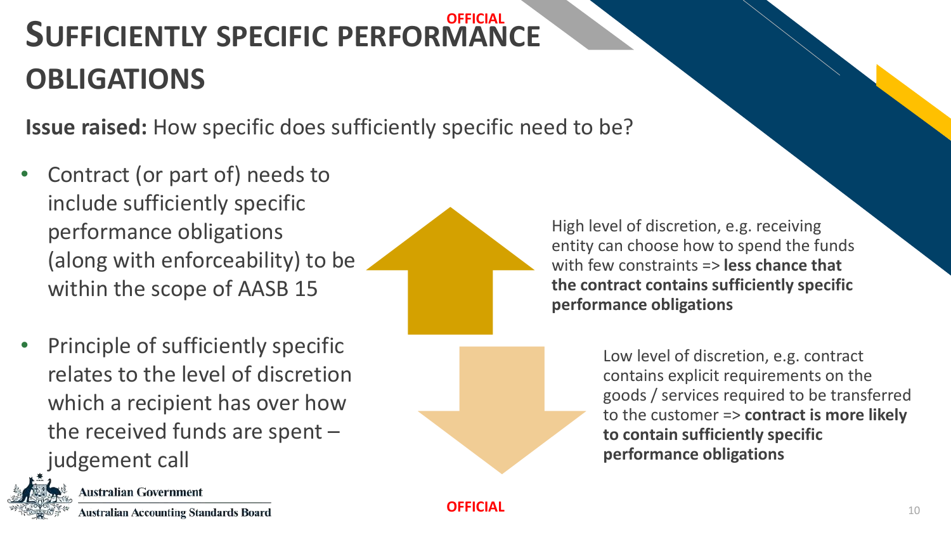## **SUFFICIENTLY SPECIFIC PERFORMANCE OBLIGATIONS OFFICIAL**

**Issue raised:** How specific does sufficiently specific need to be?

- Contract (or part of) needs to include sufficiently specific performance obligations (along with enforceability) to be within the scope of AASB 15
- Principle of sufficiently specific relates to the level of discretion which a recipient has over how the received funds are spent – judgement call



**Australian Government** • The  $\sim$   $\sim$   $\sim$   $\sim$   $\sim$ 

High level of discretion, e.g. receiving entity can choose how to spend the funds with few constraints => **less chance that the contract contains sufficiently specific performance obligations** 

> Low level of discretion, e.g. contract contains explicit requirements on the goods / services required to be transferred to the customer => **contract is more likely to contain sufficiently specific performance obligations**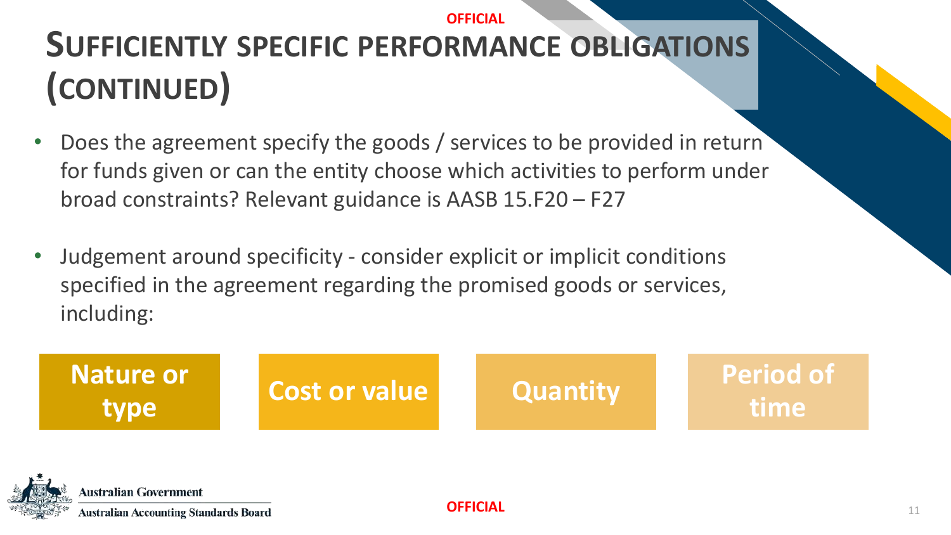# **SUFFICIENTLY SPECIFIC PERFORMANCE OBLIGATIONS (CONTINUED)**

- Does the agreement specify the goods / services to be provided in return for funds given or can the entity choose which activities to perform under broad constraints? Relevant guidance is AASB 15.F20 – F27
- Judgement around specificity consider explicit or implicit conditions specified in the agreement regarding the promised goods or services, including:



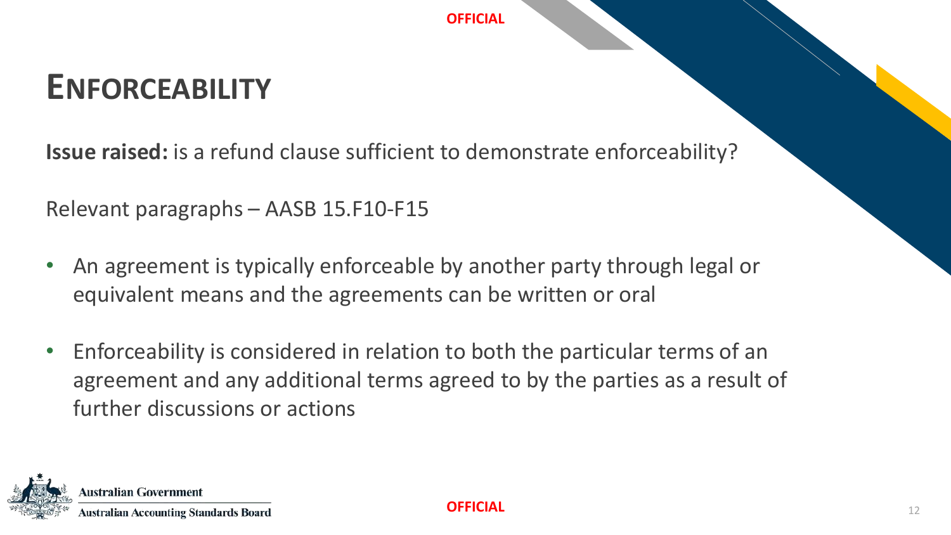# **ENFORCEABILITY**

**Issue raised:** is a refund clause sufficient to demonstrate enforceability?

Relevant paragraphs – AASB 15.F10-F15

- An agreement is typically enforceable by another party through legal or equivalent means and the agreements can be written or oral
- Enforceability is considered in relation to both the particular terms of an agreement and any additional terms agreed to by the parties as a result of further discussions or actions

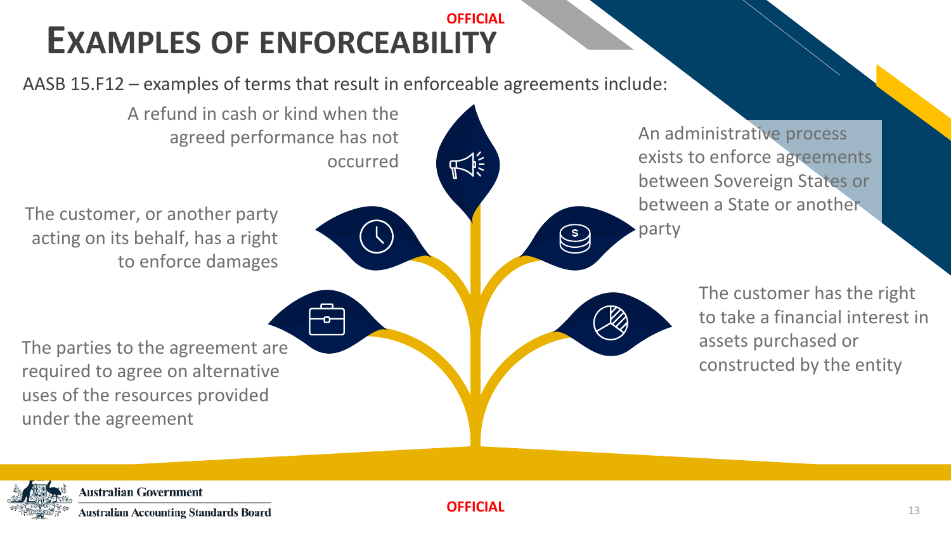## **EXAMPLES OF ENFORCEABILITY OFFICIAL**

AASB 15.F12 – examples of terms that result in enforceable agreements include:

A refund in cash or kind when the An administrative process agreed performance has not exists to enforce agreements KK occurred between Sovereign States or between a State or another The customer, or another party party  $\bigcirc$ acting on its behalf, has a right to enforce damages The customer has the right to take a financial interest in assets purchased or The parties to the agreement are constructed by the entity required to agree on alternative uses of the resources provided under the agreement

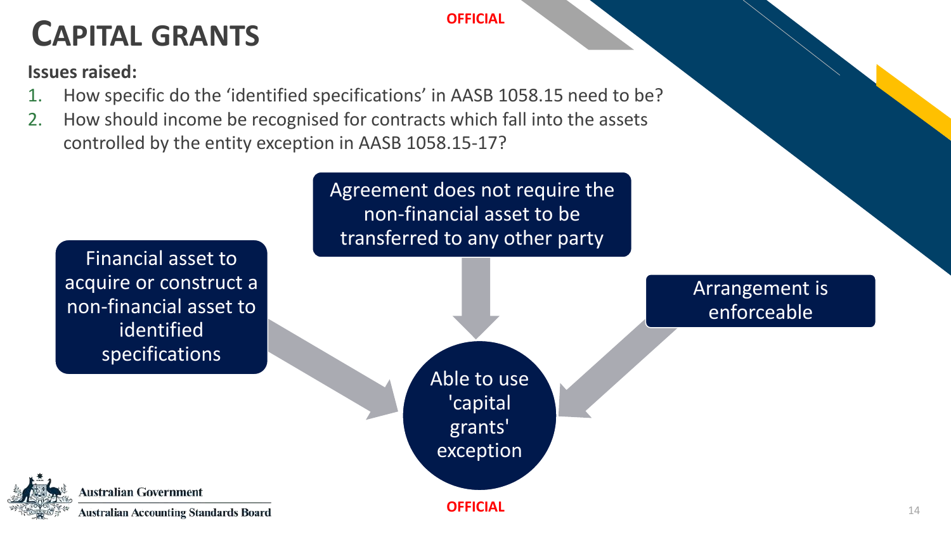# **CAPITAL GRANTS**

**Issues raised:** 

- 1. How specific do the 'identified specifications' in AASB 1058.15 need to be?
- 2. How should income be recognised for contracts which fall into the assets controlled by the entity exception in AASB 1058.15-17?

Financial asset to acquire or construct a non-financial asset to identified specifications transferred to any other party

Able to use 'capital grants' exception

Agreement does not require the

**OFFICIAL**

non-financial asset to be

Arrangement is enforceable

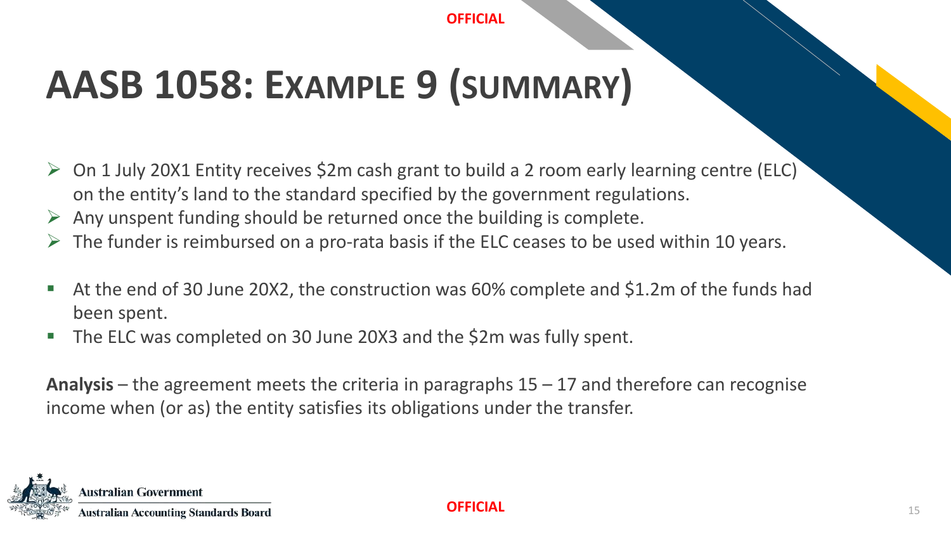# **AASB 1058: EXAMPLE 9 (SUMMARY)**

- $\triangleright$  On 1 July 20X1 Entity receives \$2m cash grant to build a 2 room early learning centre (ELC) on the entity's land to the standard specified by the government regulations.
- $\triangleright$  Any unspent funding should be returned once the building is complete.
- $\triangleright$  The funder is reimbursed on a pro-rata basis if the ELC ceases to be used within 10 years.
- At the end of 30 June 20X2, the construction was 60% complete and \$1.2m of the funds had been spent.
- The ELC was completed on 30 June 20X3 and the \$2m was fully spent.

**Analysis** – the agreement meets the criteria in paragraphs 15 – 17 and therefore can recognise income when (or as) the entity satisfies its obligations under the transfer.

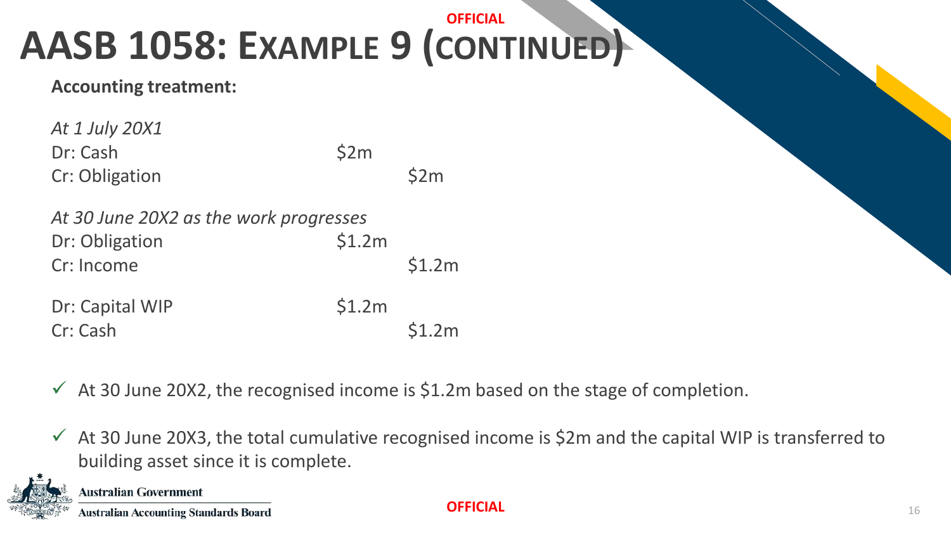## **AASB 1058: EXAMPLE 9 (CONTINUED) OFFICIAL**

### **Accounting treatment:**

| At 1 July 20X1<br>Dr: Cash<br>Cr: Obligation                           | \$2m   | \$2m   |
|------------------------------------------------------------------------|--------|--------|
| At 30 June 20X2 as the work progresses<br>Dr: Obligation<br>Cr: Income | \$1.2m | \$1.2m |
| Dr: Capital WIP<br>Cr: Cash                                            | \$1.2m | \$1.2m |

- $\checkmark$  At 30 June 20X2, the recognised income is \$1.2m based on the stage of completion.
- $\checkmark$  At 30 June 20X3, the total cumulative recognised income is \$2m and the capital WIP is transferred to building asset since it is complete.



**Australian Government**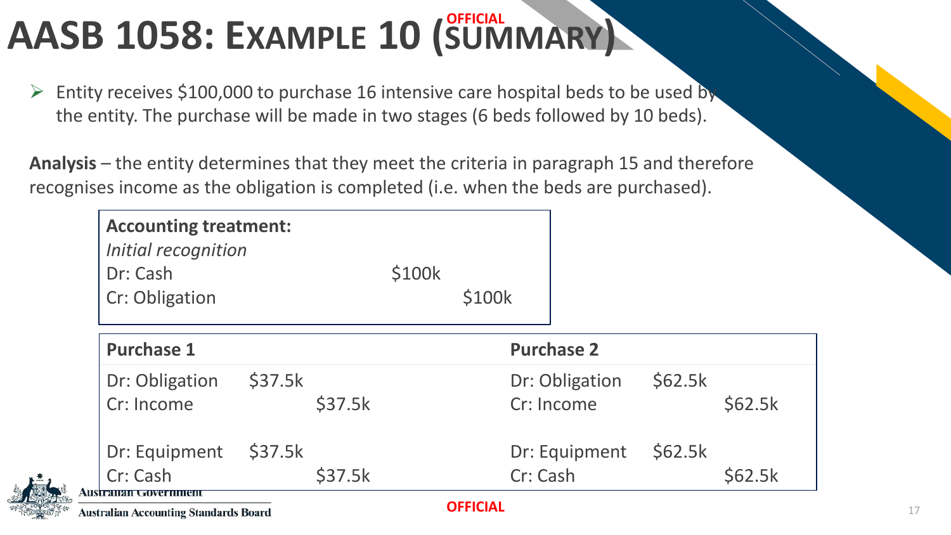# **AASB 1058: EXAMPLE 10 (SUMMARY) OFFICIAL**

 $\triangleright$  Entity receives \$100,000 to purchase 16 intensive care hospital beds to be used by the entity. The purchase will be made in two stages (6 beds followed by 10 beds).

**Analysis** – the entity determines that they meet the criteria in paragraph 15 and therefore recognises income as the obligation is completed (i.e. when the beds are purchased).

| <b>Accounting treatment:</b><br>Initial recognition<br>Dr: Cash<br>Cr: Obligation |         |         | \$100k | \$100k          |                              |         |         |
|-----------------------------------------------------------------------------------|---------|---------|--------|-----------------|------------------------------|---------|---------|
| <b>Purchase 1</b>                                                                 |         |         |        |                 | <b>Purchase 2</b>            |         |         |
| Dr: Obligation<br>Cr: Income                                                      | \$37.5k | \$37.5k |        |                 | Dr: Obligation<br>Cr: Income | \$62.5k | \$62.5k |
| Dr: Equipment<br>Cr: Cash                                                         | \$37.5k | \$37.5k |        | Cr: Cash        | Dr: Equipment                | \$62.5k | \$62.5k |
| us <del>tfahan Government</del><br>ustralian Accounting Standards Board           |         |         |        | <b>OFFICIAL</b> |                              |         |         |

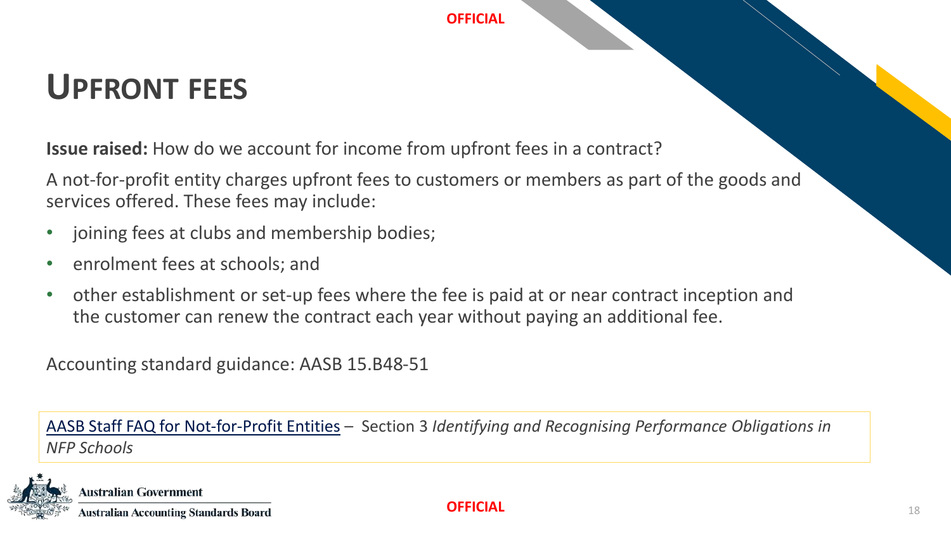# **UPFRONT FEES**

**Issue raised:** How do we account for income from upfront fees in a contract?

A not-for-profit entity charges upfront fees to customers or members as part of the goods and services offered. These fees may include:

- joining fees at clubs and membership bodies;
- enrolment fees at schools; and
- other establishment or set-up fees where the fee is paid at or near contract inception and the customer can renew the contract each year without paying an additional fee.

Accounting standard guidance: AASB 15.B48-51

[AASB Staff FAQ for Not-for-Profit Entities](https://www.aasb.gov.au/media/om2l1pnr/updated_nfp_staff_faqs_27022022.pdf) – Section 3 *Identifying and Recognising Performance Obligations in NFP Schools*

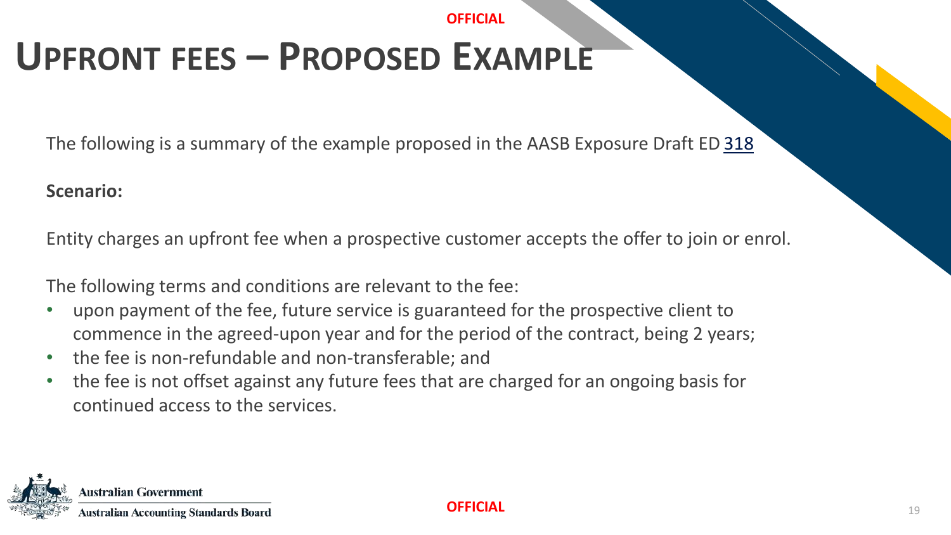# **UPFRONT FEES – PROPOSED EXAMPLE**

The following is a summary of the example proposed in the AASB Exposure Draft ED [318](https://aasb.gov.au/admin/file/content105/c9/ACCED318_01-22.pdf)

### **Scenario:**

Entity charges an upfront fee when a prospective customer accepts the offer to join or enrol.

The following terms and conditions are relevant to the fee:

- upon payment of the fee, future service is guaranteed for the prospective client to commence in the agreed-upon year and for the period of the contract, being 2 years;
- the fee is non-refundable and non-transferable; and
- the fee is not offset against any future fees that are charged for an ongoing basis for continued access to the services.

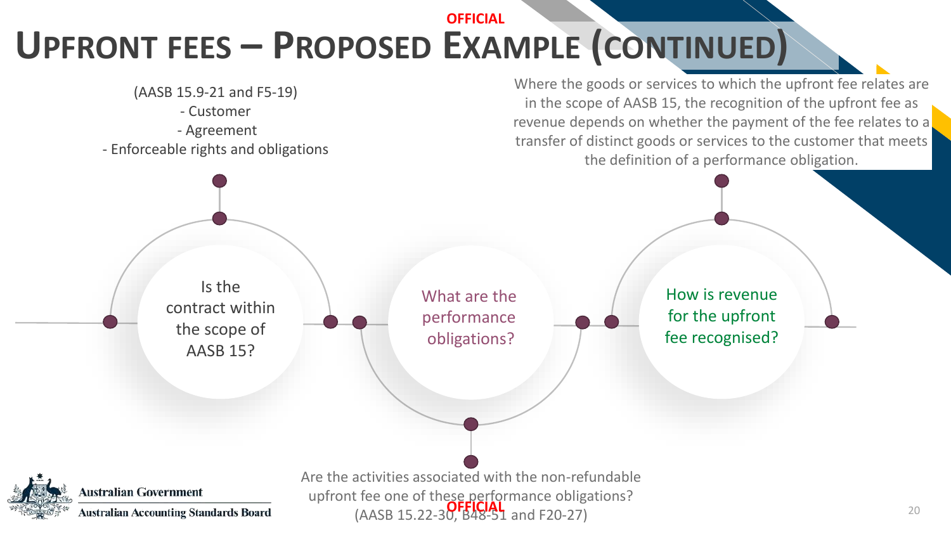## **UPFRONT FEES – PROPOSED EXAMPLE (CONTINUED) OFFICIAL**

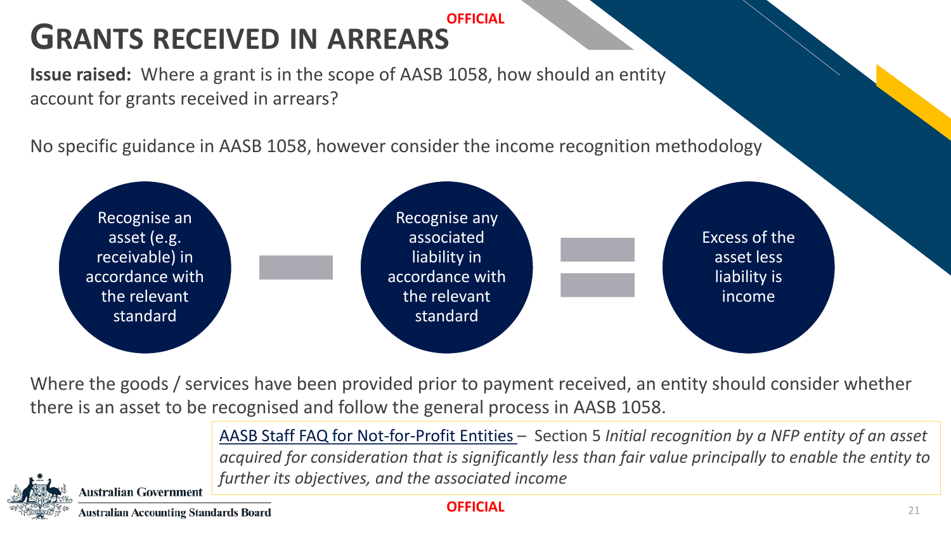### **GRANTS RECEIVED IN ARREARS OFFICIAL**

**Issue raised:** Where a grant is in the scope of AASB 1058, how should an entity account for grants received in arrears?

No specific guidance in AASB 1058, however consider the income recognition methodology



Where the goods / services have been provided prior to payment received, an entity should consider whether there is an asset to be recognised and follow the general process in AASB 1058.

> [AASB Staff FAQ for Not-for-Profit Entities](https://www.aasb.gov.au/admin/file/content102/c3/Updated_NFP_Staff_FAQs_10-20_1604630803631.pdf) – Section 5 *Initial recognition by a NFP entity of an asset acquired for consideration that is significantly less than fair value principally to enable the entity to further its objectives, and the associated income*

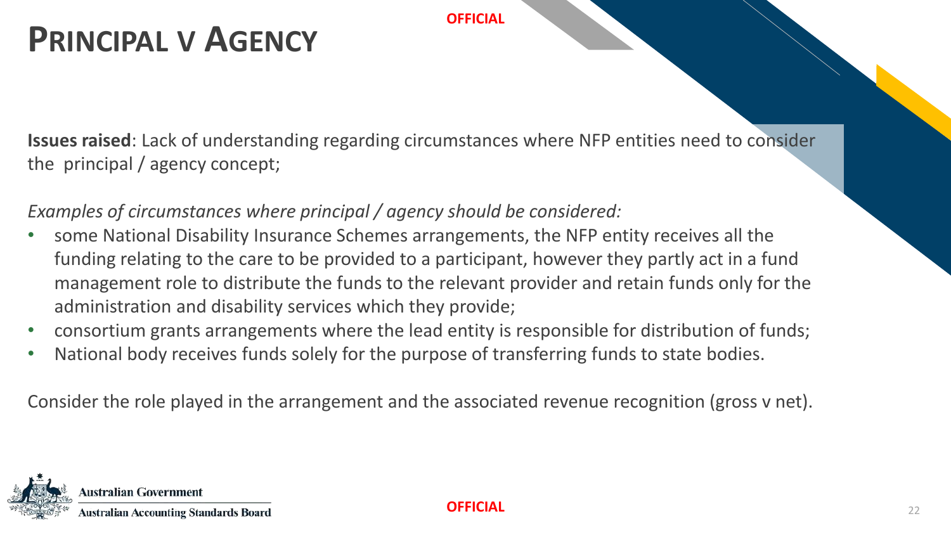# **PRINCIPAL V AGENCY**

**Issues raised**: Lack of understanding regarding circumstances where NFP entities need to consider the principal / agency concept;

*Examples of circumstances where principal / agency should be considered:*

- some National Disability Insurance Schemes arrangements, the NFP entity receives all the funding relating to the care to be provided to a participant, however they partly act in a fund management role to distribute the funds to the relevant provider and retain funds only for the administration and disability services which they provide;
- consortium grants arrangements where the lead entity is responsible for distribution of funds;
- National body receives funds solely for the purpose of transferring funds to state bodies.

Consider the role played in the arrangement and the associated revenue recognition (gross v net).

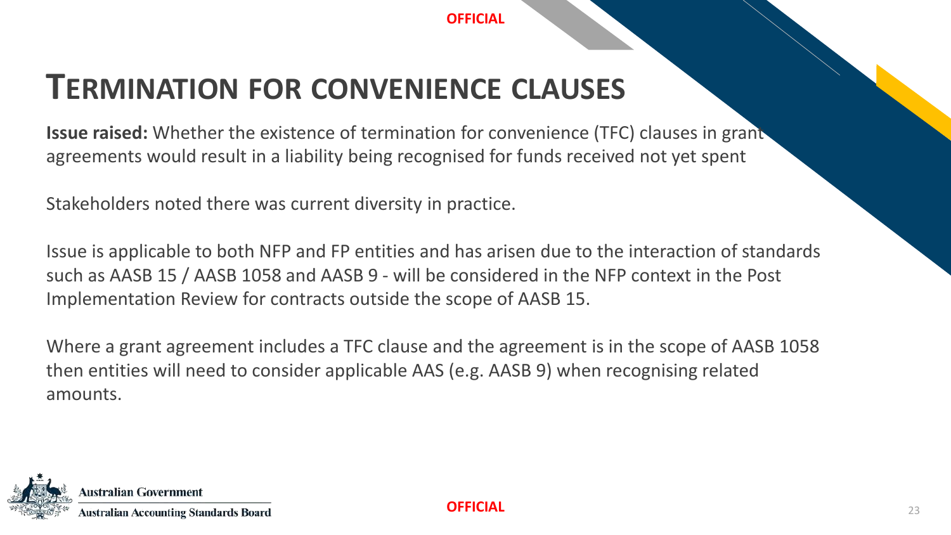## **TERMINATION FOR CONVENIENCE CLAUSES**

**Issue raised:** Whether the existence of termination for convenience (TFC) clauses in grant agreements would result in a liability being recognised for funds received not yet spent

Stakeholders noted there was current diversity in practice.

Issue is applicable to both NFP and FP entities and has arisen due to the interaction of standards such as AASB 15 / AASB 1058 and AASB 9 - will be considered in the NFP context in the Post Implementation Review for contracts outside the scope of AASB 15.

Where a grant agreement includes a TFC clause and the agreement is in the scope of AASB 1058 then entities will need to consider applicable AAS (e.g. AASB 9) when recognising related amounts.

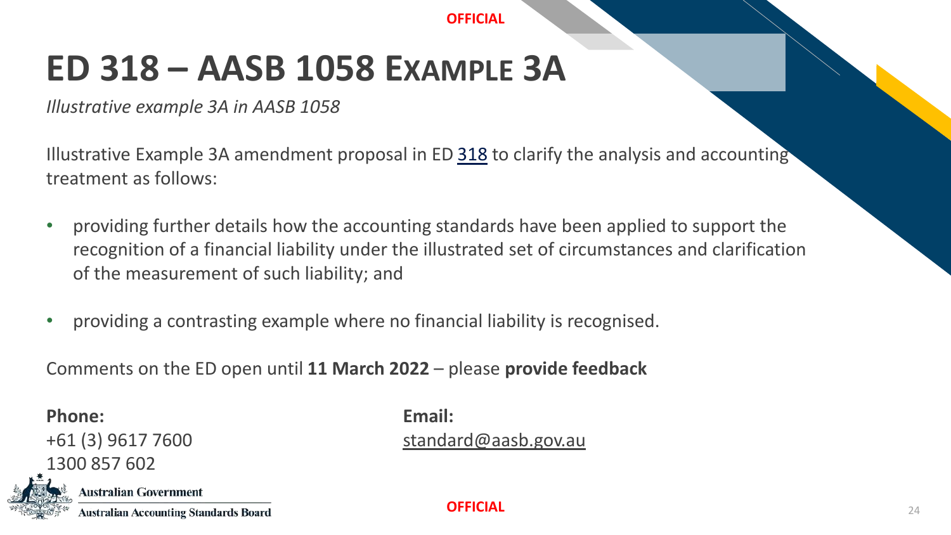# **ED 318 – AASB 1058 EXAMPLE 3A**

*Illustrative example 3A in AASB 1058*

Illustrative Example 3A amendment proposal in ED [318](https://aasb.gov.au/admin/file/content105/c9/ACCED318_01-22.pdf) to clarify the analysis and accounting treatment as follows:

- providing further details how the accounting standards have been applied to support the recognition of a financial liability under the illustrated set of circumstances and clarification of the measurement of such liability; and
- providing a contrasting example where no financial liability is recognised.

Comments on the ED open until **11 March 2022** – please **provide feedback**

**Phone: Email:** 1300 857 602 **Australian Government Australian Accounting Standards Board** 

+61 (3) 9617 7600 [standard@aasb.gov.au](mailto:standard@aasb.gov.au)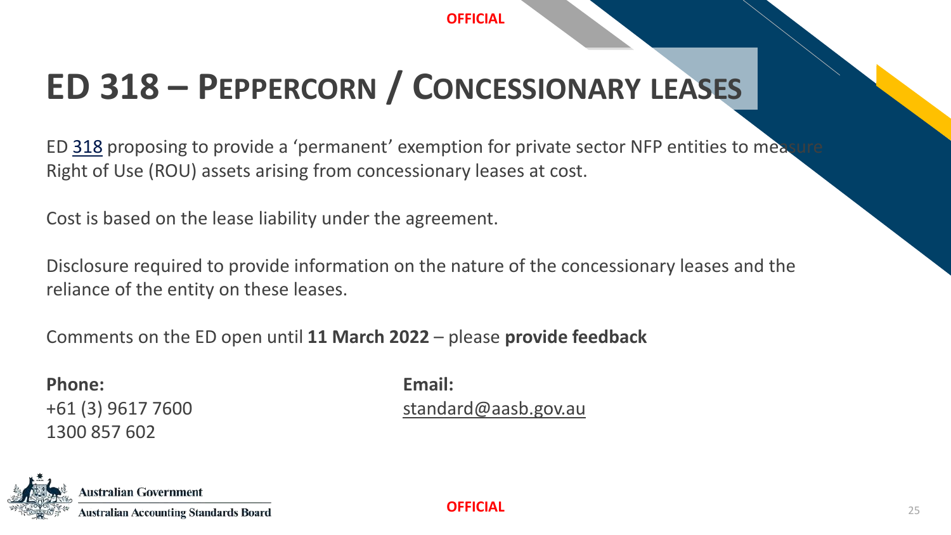# **ED 318 – PEPPERCORN / CONCESSIONARY LEASES**

ED [318](https://aasb.gov.au/admin/file/content105/c9/ACCED318_01-22.pdf) proposing to provide a 'permanent' exemption for private sector NFP entities to measure Right of Use (ROU) assets arising from concessionary leases at cost.

Cost is based on the lease liability under the agreement.

Disclosure required to provide information on the nature of the concessionary leases and the reliance of the entity on these leases.

Comments on the ED open until **11 March 2022** – please **provide feedback**

**Phone: Email:** 1300 857 602

+61 (3) 9617 7600 [standard@aasb.gov.au](mailto:standard@aasb.gov.au)

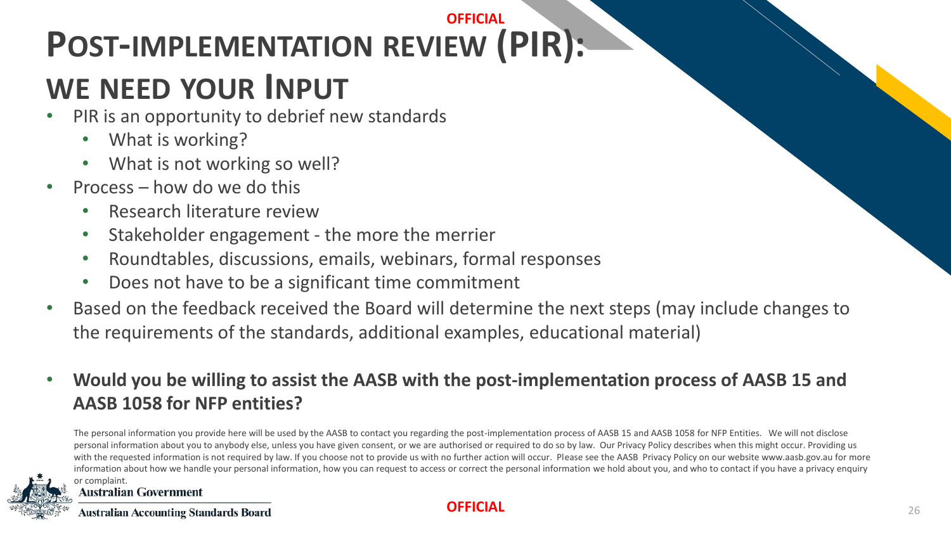## **POST-IMPLEMENTATION REVIEW (PIR): OFFICIAL**

# **WE NEED YOUR INPUT**

- PIR is an opportunity to debrief new standards
	- What is working?
	- What is not working so well?
- Process how do we do this
	- Research literature review
	- Stakeholder engagement the more the merrier
	- Roundtables, discussions, emails, webinars, formal responses
	- Does not have to be a significant time commitment
- Based on the feedback received the Board will determine the next steps (may include changes to the requirements of the standards, additional examples, educational material)
- **Would you be willing to assist the AASB with the post-implementation process of AASB 15 and AASB 1058 for NFP entities?**

The personal information you provide here will be used by the AASB to contact you regarding the post-implementation process of AASB 15 and AASB 1058 for NFP Entities. We will not disclose personal information about you to anybody else, unless you have given consent, or we are authorised or required to do so by law. Our Privacy Policy describes when this might occur. Providing us with the requested information is not required by law. If you choose not to provide us with no further action will occur. Please see the AASB Privacy Policy on our website www.aasb.gov.au for more information about how we handle your personal information, how you can request to access or correct the personal information we hold about you, and who to contact if you have a privacy enquiry or complaint.<br>**Australian Government** 



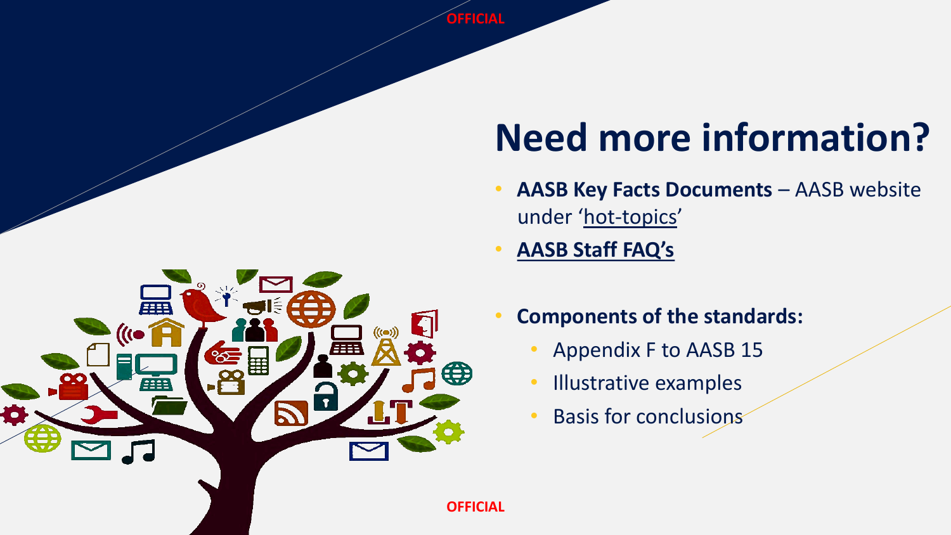# **Need more information?**

- **AASB Key Facts Documents**  AASB website under '[hot-topics](https://aasb.gov.au/research-resources/hot-topics/technical-faqs/)'
- **[AASB Staff FAQ's](https://aasb.gov.au/research-resources/hot-topics/technical-faqs/)**
- **Components of the standards:**
	- Appendix F to AASB 15
	- Illustrative examples
	- Basis for conclusions

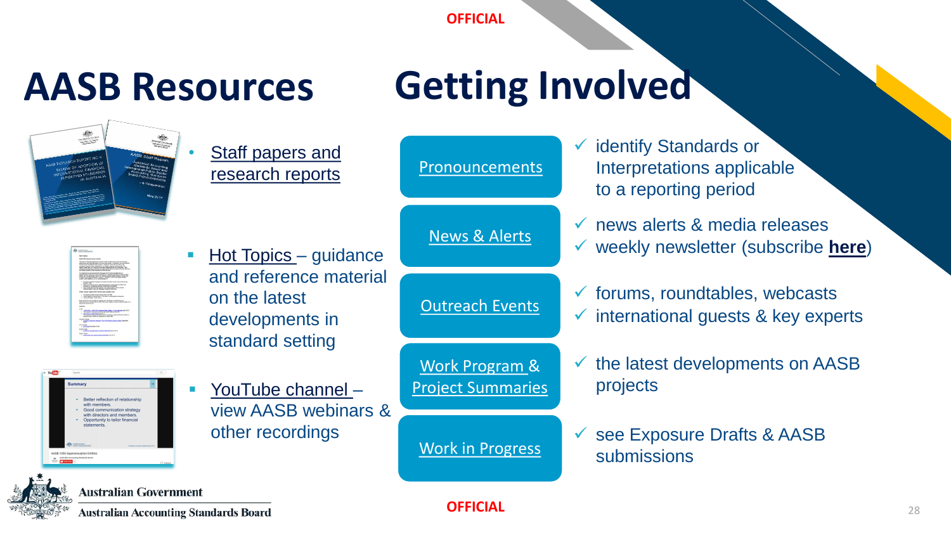# **AASB Resources**

# **Getting Involved**



**Australian Accounting Standards Board**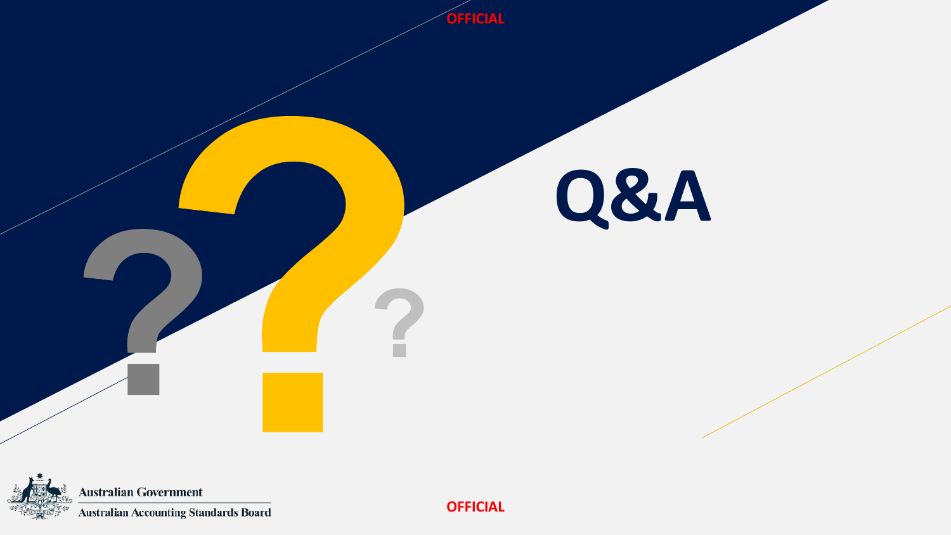